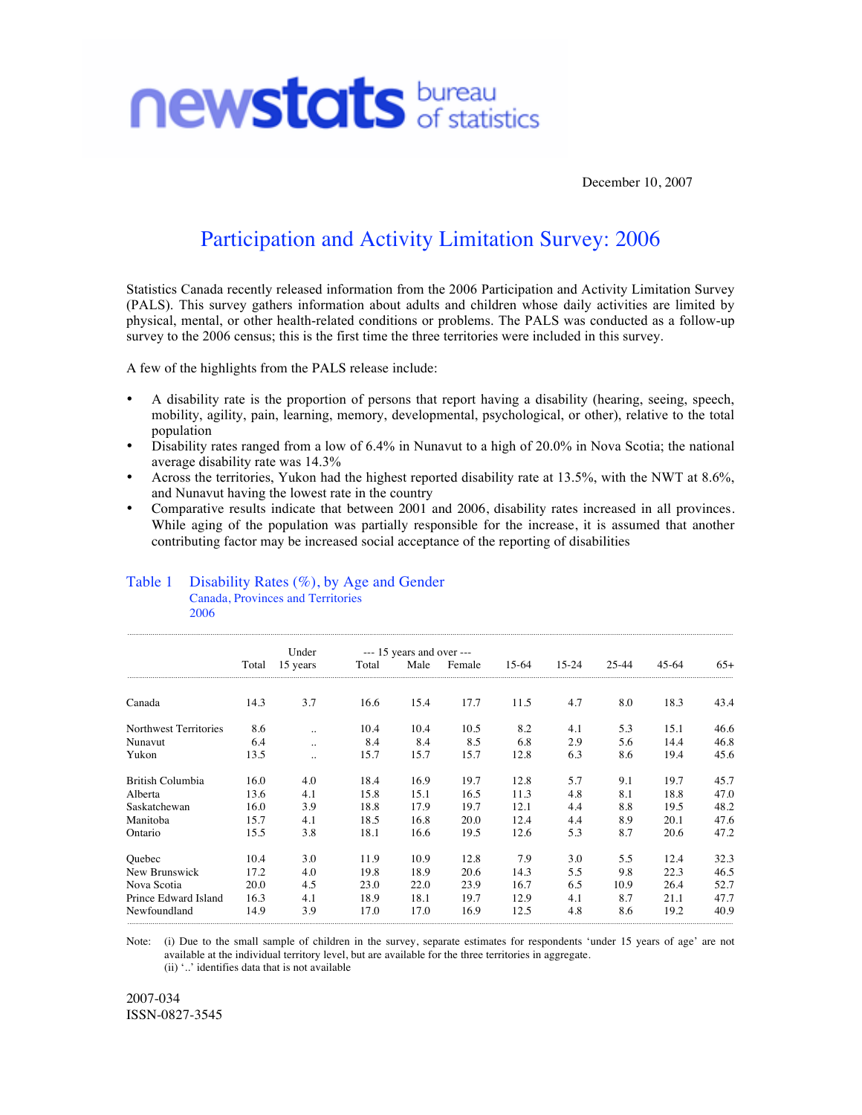

December 10, 2007

## Participation and Activity Limitation Survey: 2006

Statistics Canada recently released information from the 2006 Participation and Activity Limitation Survey (PALS). This survey gathers information about adults and children whose daily activities are limited by physical, mental, or other health-related conditions or problems. The PALS was conducted as a follow-up survey to the 2006 census; this is the first time the three territories were included in this survey.

A few of the highlights from the PALS release include:

- A disability rate is the proportion of persons that report having a disability (hearing, seeing, speech, mobility, agility, pain, learning, memory, developmental, psychological, or other), relative to the total population
- Disability rates ranged from a low of 6.4% in Nunavut to a high of 20.0% in Nova Scotia; the national average disability rate was 14.3%
- Across the territories, Yukon had the highest reported disability rate at 13.5%, with the NWT at 8.6%, and Nunavut having the lowest rate in the country
- Comparative results indicate that between 2001 and 2006, disability rates increased in all provinces. While aging of the population was partially responsible for the increase, it is assumed that another contributing factor may be increased social acceptance of the reporting of disabilities

## Table 1 Disability Rates (%), by Age and Gender Canada, Provinces and Territories

2006

|                         |       | Under    | $--- 15$ years and over $---$ |      |        |       |       |       |       |       |
|-------------------------|-------|----------|-------------------------------|------|--------|-------|-------|-------|-------|-------|
|                         | Total | 15 years | Total                         | Male | Female | 15-64 | 15-24 | 25-44 | 45-64 | $65+$ |
| Canada                  | 14.3  | 3.7      | 16.6                          | 15.4 | 17.7   | 11.5  | 4.7   | 8.0   | 18.3  | 43.4  |
| Northwest Territories   | 8.6   |          | 10.4                          | 10.4 | 10.5   | 8.2   | 4.1   | 5.3   | 15.1  | 46.6  |
| Nunavut                 | 6.4   |          | 8.4                           | 8.4  | 8.5    | 6.8   | 2.9   | 5.6   | 14.4  | 46.8  |
| Yukon                   | 13.5  |          | 15.7                          | 15.7 | 15.7   | 12.8  | 6.3   | 8.6   | 19.4  | 45.6  |
| <b>British Columbia</b> | 16.0  | 4.0      | 18.4                          | 16.9 | 19.7   | 12.8  | 5.7   | 9.1   | 19.7  | 45.7  |
| Alberta                 | 13.6  | 4.1      | 15.8                          | 15.1 | 16.5   | 11.3  | 4.8   | 8.1   | 18.8  | 47.0  |
| Saskatchewan            | 16.0  | 3.9      | 18.8                          | 17.9 | 19.7   | 12.1  | 4.4   | 8.8   | 19.5  | 48.2  |
| Manitoba                | 15.7  | 4.1      | 18.5                          | 16.8 | 20.0   | 12.4  | 4.4   | 8.9   | 20.1  | 47.6  |
| Ontario                 | 15.5  | 3.8      | 18.1                          | 16.6 | 19.5   | 12.6  | 5.3   | 8.7   | 20.6  | 47.2  |
| Quebec                  | 10.4  | 3.0      | 11.9                          | 10.9 | 12.8   | 7.9   | 3.0   | 5.5   | 12.4  | 32.3  |
| New Brunswick           | 17.2  | 4.0      | 19.8                          | 18.9 | 20.6   | 14.3  | 5.5   | 9.8   | 22.3  | 46.5  |
| Nova Scotia             | 20.0  | 4.5      | 23.0                          | 22.0 | 23.9   | 16.7  | 6.5   | 10.9  | 26.4  | 52.7  |
| Prince Edward Island    | 16.3  | 4.1      | 18.9                          | 18.1 | 19.7   | 12.9  | 4.1   | 8.7   | 21.1  | 47.7  |
| Newfoundland            | 14.9  | 3.9      | 17.0                          | 17.0 | 16.9   | 12.5  | 4.8   | 8.6   | 19.2  | 40.9  |

Note: (i) Due to the small sample of children in the survey, separate estimates for respondents 'under 15 years of age' are not available at the individual territory level, but are available for the three territories in aggregate. (ii) '..' identifies data that is not available

2007-034 ISSN-0827-3545